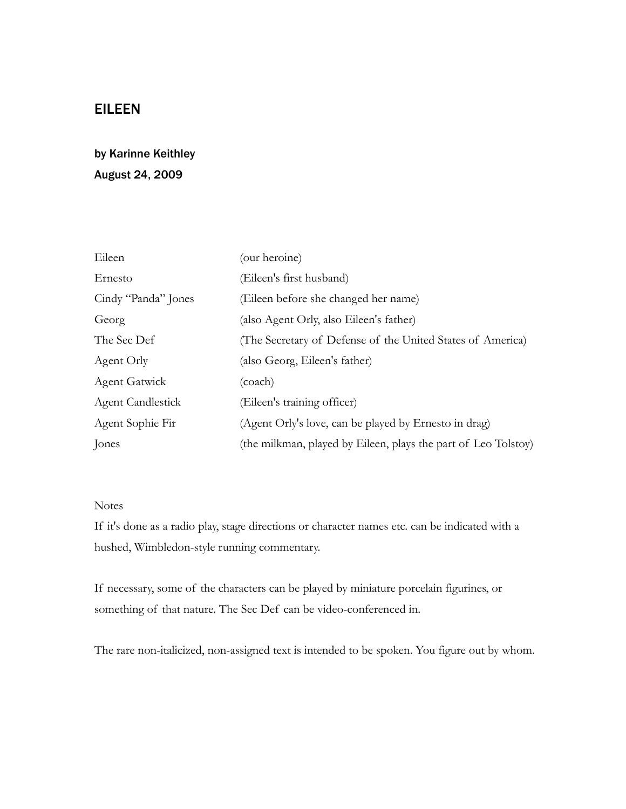# EILEEN

# by Karinne Keithley August 24, 2009

| Eileen                   | (our heroine)                                                  |
|--------------------------|----------------------------------------------------------------|
| Ernesto                  | (Eileen's first husband)                                       |
| Cindy "Panda" Jones      | (Eileen before she changed her name)                           |
| Georg                    | (also Agent Orly, also Eileen's father)                        |
| The Sec Def              | (The Secretary of Defense of the United States of America)     |
| Agent Orly               | (also Georg, Eileen's father)                                  |
| <b>Agent Gatwick</b>     | (coach)                                                        |
| <b>Agent Candlestick</b> | (Eileen's training officer)                                    |
| Agent Sophie Fir         | (Agent Orly's love, can be played by Ernesto in drag)          |
| Jones                    | (the milkman, played by Eileen, plays the part of Leo Tolstoy) |

## Notes

If it's done as a radio play, stage directions or character names etc. can be indicated with a hushed, Wimbledon-style running commentary.

If necessary, some of the characters can be played by miniature porcelain figurines, or something of that nature. The Sec Def can be video-conferenced in.

The rare non-italicized, non-assigned text is intended to be spoken. You figure out by whom.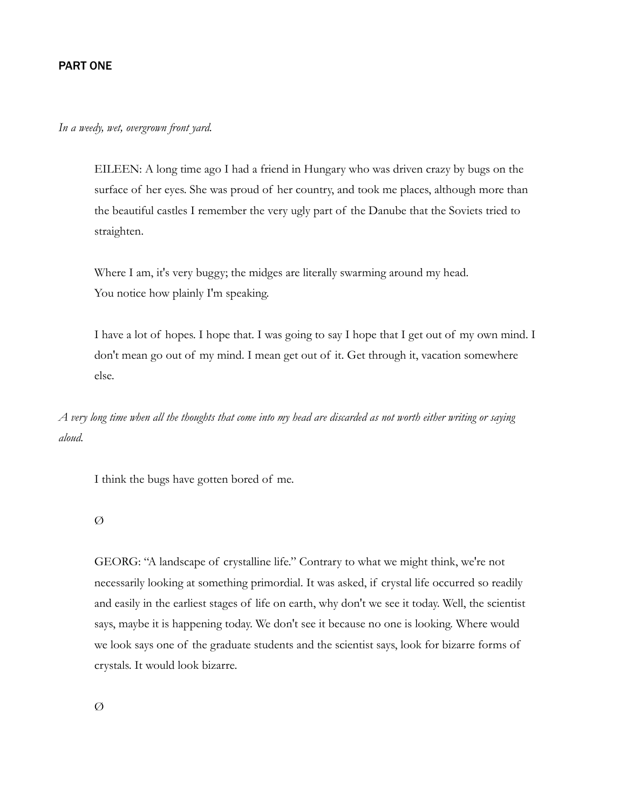#### PART ONE

*In a weedy, wet, overgrown front yard.*

EILEEN: A long time ago I had a friend in Hungary who was driven crazy by bugs on the surface of her eyes. She was proud of her country, and took me places, although more than the beautiful castles I remember the very ugly part of the Danube that the Soviets tried to straighten.

Where I am, it's very buggy; the midges are literally swarming around my head. You notice how plainly I'm speaking.

I have a lot of hopes. I hope that. I was going to say I hope that I get out of my own mind. I don't mean go out of my mind. I mean get out of it. Get through it, vacation somewhere else.

*A very long time when all the thoughts that come into my head are discarded as not worth either writing or saying aloud.*

I think the bugs have gotten bored of me.

#### $\varnothing$

GEORG: "A landscape of crystalline life." Contrary to what we might think, we're not necessarily looking at something primordial. It was asked, if crystal life occurred so readily and easily in the earliest stages of life on earth, why don't we see it today. Well, the scientist says, maybe it is happening today. We don't see it because no one is looking. Where would we look says one of the graduate students and the scientist says, look for bizarre forms of crystals. It would look bizarre.

 $\varnothing$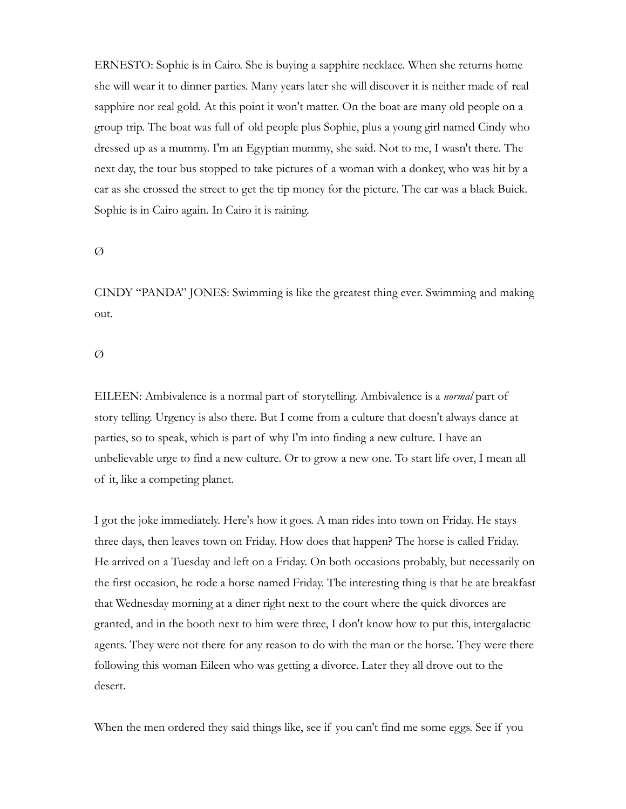ERNESTO: Sophie is in Cairo. She is buying a sapphire necklace. When she returns home she will wear it to dinner parties. Many years later she will discover it is neither made of real sapphire nor real gold. At this point it won't matter. On the boat are many old people on a group trip. The boat was full of old people plus Sophie, plus a young girl named Cindy who dressed up as a mummy. I'm an Egyptian mummy, she said. Not to me, I wasn't there. The next day, the tour bus stopped to take pictures of a woman with a donkey, who was hit by a car as she crossed the street to get the tip money for the picture. The car was a black Buick. Sophie is in Cairo again. In Cairo it is raining.

#### $\varnothing$

CINDY "PANDA" JONES: Swimming is like the greatest thing ever. Swimming and making out.

#### Ø

EILEEN: Ambivalence is a normal part of storytelling. Ambivalence is a *normal* part of story telling. Urgency is also there. But I come from a culture that doesn't always dance at parties, so to speak, which is part of why I'm into finding a new culture. I have an unbelievable urge to find a new culture. Or to grow a new one. To start life over, I mean all of it, like a competing planet.

I got the joke immediately. Here's how it goes. A man rides into town on Friday. He stays three days, then leaves town on Friday. How does that happen? The horse is called Friday. He arrived on a Tuesday and left on a Friday. On both occasions probably, but necessarily on the first occasion, he rode a horse named Friday. The interesting thing is that he ate breakfast that Wednesday morning at a diner right next to the court where the quick divorces are granted, and in the booth next to him were three, I don't know how to put this, intergalactic agents. They were not there for any reason to do with the man or the horse. They were there following this woman Eileen who was getting a divorce. Later they all drove out to the desert.

When the men ordered they said things like, see if you can't find me some eggs. See if you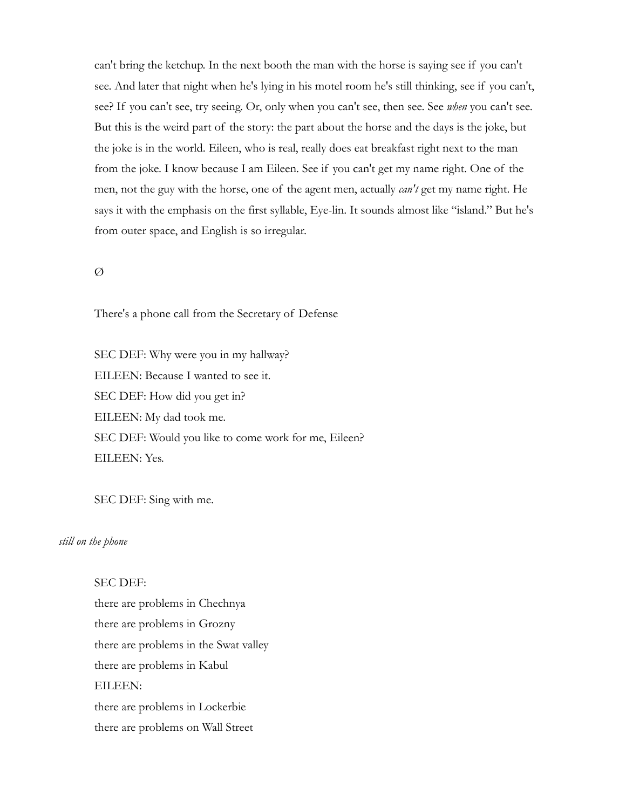can't bring the ketchup. In the next booth the man with the horse is saying see if you can't see. And later that night when he's lying in his motel room he's still thinking, see if you can't, see? If you can't see, try seeing. Or, only when you can't see, then see. See *when* you can't see. But this is the weird part of the story: the part about the horse and the days is the joke, but the joke is in the world. Eileen, who is real, really does eat breakfast right next to the man from the joke. I know because I am Eileen. See if you can't get my name right. One of the men, not the guy with the horse, one of the agent men, actually *can't* get my name right. He says it with the emphasis on the first syllable, Eye-lin. It sounds almost like "island." But he's from outer space, and English is so irregular.

### Ø

There's a phone call from the Secretary of Defense

SEC DEF: Why were you in my hallway? EILEEN: Because I wanted to see it. SEC DEF: How did you get in? EILEEN: My dad took me. SEC DEF: Would you like to come work for me, Eileen? EILEEN: Yes.

SEC DEF: Sing with me.

## *still on the phone*

#### SEC DEF:

there are problems in Chechnya there are problems in Grozny there are problems in the Swat valley there are problems in Kabul EILEEN: there are problems in Lockerbie there are problems on Wall Street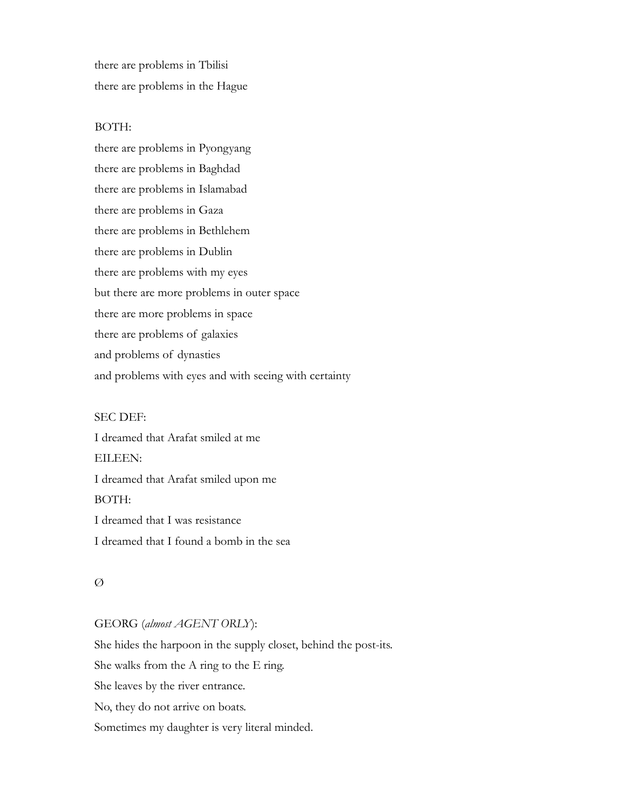there are problems in Tbilisi there are problems in the Hague

## BOTH:

there are problems in Pyongyang there are problems in Baghdad there are problems in Islamabad there are problems in Gaza there are problems in Bethlehem there are problems in Dublin there are problems with my eyes but there are more problems in outer space there are more problems in space there are problems of galaxies and problems of dynasties and problems with eyes and with seeing with certainty

#### SEC DEF:

I dreamed that Arafat smiled at me EILEEN: I dreamed that Arafat smiled upon me BOTH: I dreamed that I was resistance I dreamed that I found a bomb in the sea

#### $\varnothing$

# GEORG (*almost AGENT ORLY*):

She hides the harpoon in the supply closet, behind the post-its. She walks from the A ring to the E ring. She leaves by the river entrance. No, they do not arrive on boats. Sometimes my daughter is very literal minded.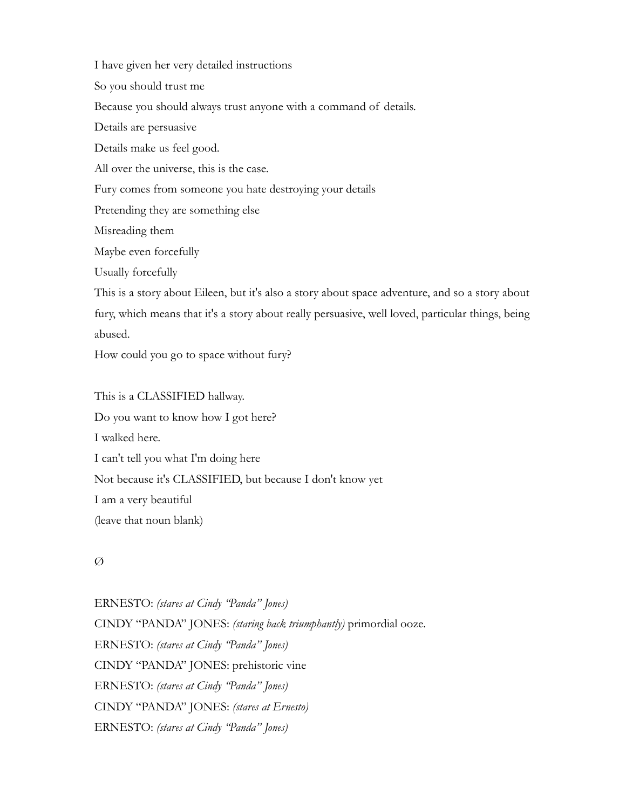I have given her very detailed instructions

So you should trust me

Because you should always trust anyone with a command of details.

Details are persuasive

Details make us feel good.

All over the universe, this is the case.

Fury comes from someone you hate destroying your details

Pretending they are something else

Misreading them

Maybe even forcefully

Usually forcefully

This is a story about Eileen, but it's also a story about space adventure, and so a story about fury, which means that it's a story about really persuasive, well loved, particular things, being abused.

How could you go to space without fury?

This is a CLASSIFIED hallway. Do you want to know how I got here? I walked here. I can't tell you what I'm doing here Not because it's CLASSIFIED, but because I don't know yet I am a very beautiful (leave that noun blank)

# Ø

ERNESTO: *(stares at Cindy "Panda" Jones)* CINDY "PANDA" JONES: *(staring back triumphantly)* primordial ooze. ERNESTO: *(stares at Cindy "Panda" Jones)* CINDY "PANDA" JONES: prehistoric vine ERNESTO: *(stares at Cindy "Panda" Jones)* CINDY "PANDA" JONES: *(stares at Ernesto)* ERNESTO: *(stares at Cindy "Panda" Jones)*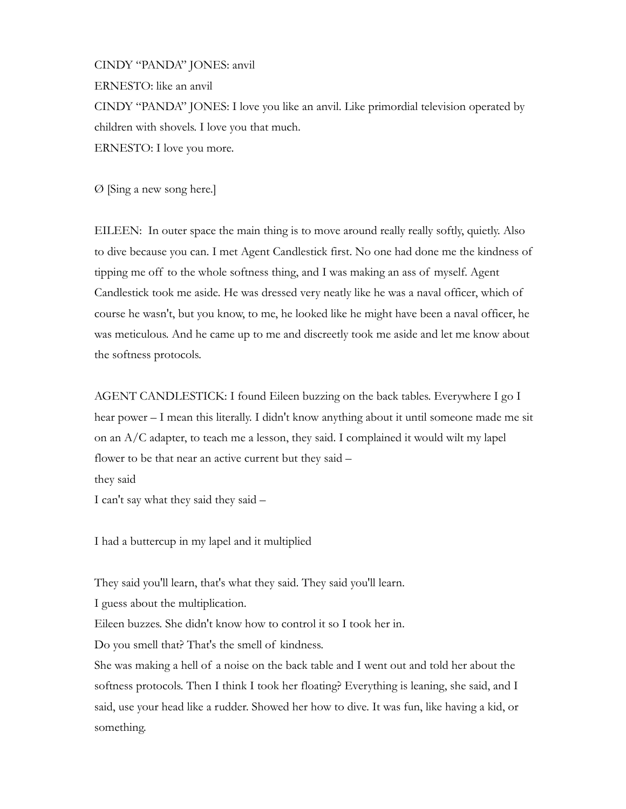CINDY "PANDA" JONES: anvil ERNESTO: like an anvil CINDY "PANDA" JONES: I love you like an anvil. Like primordial television operated by children with shovels. I love you that much. ERNESTO: I love you more.

Ø [Sing a new song here.]

EILEEN: In outer space the main thing is to move around really really softly, quietly. Also to dive because you can. I met Agent Candlestick first. No one had done me the kindness of tipping me off to the whole softness thing, and I was making an ass of myself. Agent Candlestick took me aside. He was dressed very neatly like he was a naval officer, which of course he wasn't, but you know, to me, he looked like he might have been a naval officer, he was meticulous. And he came up to me and discreetly took me aside and let me know about the softness protocols.

AGENT CANDLESTICK: I found Eileen buzzing on the back tables. Everywhere I go I hear power – I mean this literally. I didn't know anything about it until someone made me sit on an A/C adapter, to teach me a lesson, they said. I complained it would wilt my lapel flower to be that near an active current but they said – they said

I can't say what they said they said -

I had a buttercup in my lapel and it multiplied

They said you'll learn, that's what they said. They said you'll learn.

I guess about the multiplication.

Eileen buzzes. She didn't know how to control it so I took her in.

Do you smell that? That's the smell of kindness.

She was making a hell of a noise on the back table and I went out and told her about the softness protocols. Then I think I took her floating? Everything is leaning, she said, and I said, use your head like a rudder. Showed her how to dive. It was fun, like having a kid, or something.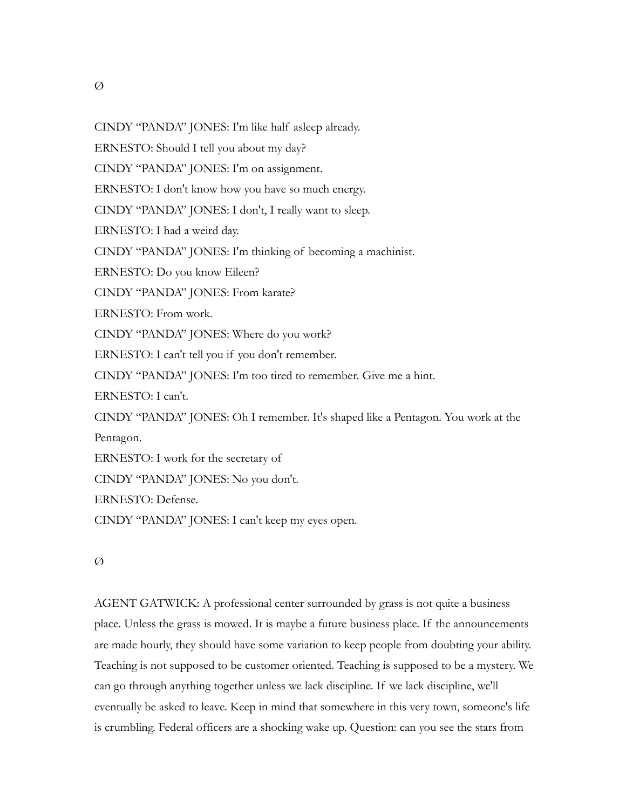$\varnothing$ 

CINDY "PANDA" JONES: I'm like half asleep already.

ERNESTO: Should I tell you about my day?

CINDY "PANDA" JONES: I'm on assignment.

ERNESTO: I don't know how you have so much energy.

CINDY "PANDA" JONES: I don't, I really want to sleep.

ERNESTO: I had a weird day.

CINDY "PANDA" JONES: I'm thinking of becoming a machinist.

ERNESTO: Do you know Eileen?

CINDY "PANDA" JONES: From karate?

ERNESTO: From work.

CINDY "PANDA" JONES: Where do you work?

ERNESTO: I can't tell you if you don't remember.

CINDY "PANDA" JONES: I'm too tired to remember. Give me a hint.

ERNESTO: I can't.

CINDY "PANDA" JONES: Oh I remember. It's shaped like a Pentagon. You work at the Pentagon.

ERNESTO: I work for the secretary of

CINDY "PANDA" JONES: No you don't.

ERNESTO: Defense.

CINDY "PANDA" JONES: I can't keep my eyes open.

## Ø

AGENT GATWICK: A professional center surrounded by grass is not quite a business place. Unless the grass is mowed. It is maybe a future business place. If the announcements are made hourly, they should have some variation to keep people from doubting your ability. Teaching is not supposed to be customer oriented. Teaching is supposed to be a mystery. We can go through anything together unless we lack discipline. If we lack discipline, we'll eventually be asked to leave. Keep in mind that somewhere in this very town, someone's life is crumbling. Federal officers are a shocking wake up. Question: can you see the stars from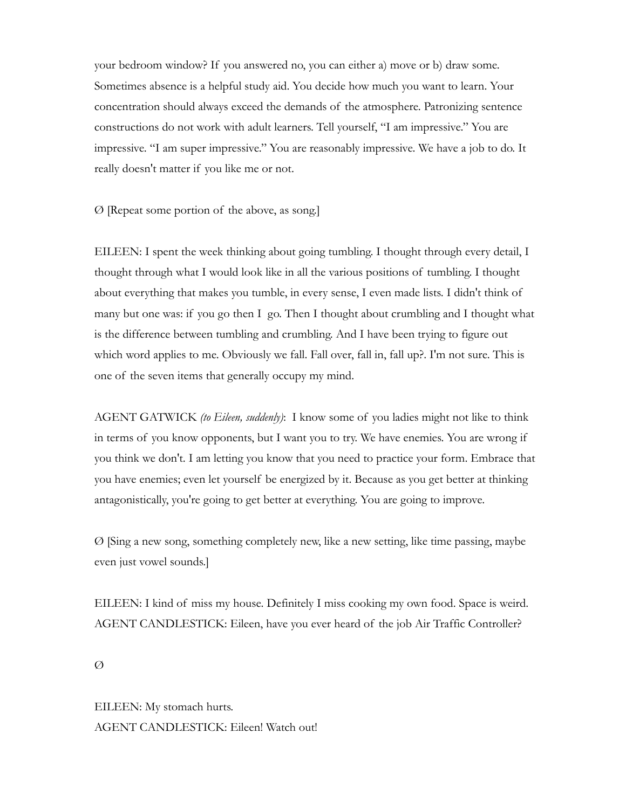your bedroom window? If you answered no, you can either a) move or b) draw some. Sometimes absence is a helpful study aid. You decide how much you want to learn. Your concentration should always exceed the demands of the atmosphere. Patronizing sentence constructions do not work with adult learners. Tell yourself, "I am impressive." You are impressive. "I am super impressive." You are reasonably impressive. We have a job to do. It really doesn't matter if you like me or not.

Ø [Repeat some portion of the above, as song.]

EILEEN: I spent the week thinking about going tumbling. I thought through every detail, I thought through what I would look like in all the various positions of tumbling. I thought about everything that makes you tumble, in every sense, I even made lists. I didn't think of many but one was: if you go then I go. Then I thought about crumbling and I thought what is the difference between tumbling and crumbling. And I have been trying to figure out which word applies to me. Obviously we fall. Fall over, fall in, fall up?. I'm not sure. This is one of the seven items that generally occupy my mind.

AGENT GATWICK *(to Eileen, suddenly)*: I know some of you ladies might not like to think in terms of you know opponents, but I want you to try. We have enemies. You are wrong if you think we don't. I am letting you know that you need to practice your form. Embrace that you have enemies; even let yourself be energized by it. Because as you get better at thinking antagonistically, you're going to get better at everything. You are going to improve.

Ø [Sing a new song, something completely new, like a new setting, like time passing, maybe even just vowel sounds.]

EILEEN: I kind of miss my house. Definitely I miss cooking my own food. Space is weird. AGENT CANDLESTICK: Eileen, have you ever heard of the job Air Traffic Controller?

Ø

EILEEN: My stomach hurts. AGENT CANDLESTICK: Eileen! Watch out!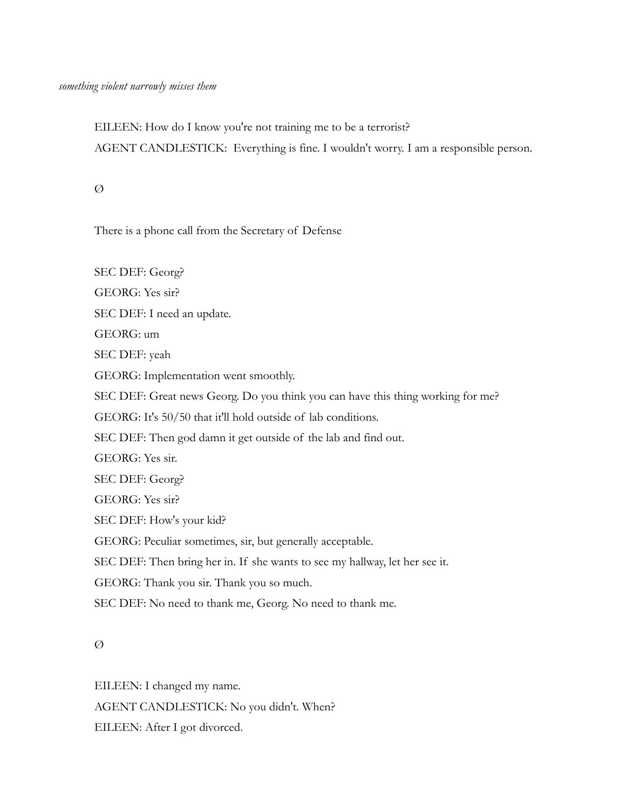EILEEN: How do I know you're not training me to be a terrorist? AGENT CANDLESTICK: Everything is fine. I wouldn't worry. I am a responsible person.

 $\varnothing$ 

There is a phone call from the Secretary of Defense

SEC DEF: Georg? GEORG: Yes sir? SEC DEF: I need an update. GEORG: um SEC DEF: yeah GEORG: Implementation went smoothly. SEC DEF: Great news Georg. Do you think you can have this thing working for me? GEORG: It's 50/50 that it'll hold outside of lab conditions. SEC DEF: Then god damn it get outside of the lab and find out. GEORG: Yes sir. SEC DEF: Georg? GEORG: Yes sir? SEC DEF: How's your kid? GEORG: Peculiar sometimes, sir, but generally acceptable. SEC DEF: Then bring her in. If she wants to see my hallway, let her see it. GEORG: Thank you sir. Thank you so much. SEC DEF: No need to thank me, Georg. No need to thank me.

Ø

EILEEN: I changed my name. AGENT CANDLESTICK: No you didn't. When? EILEEN: After I got divorced.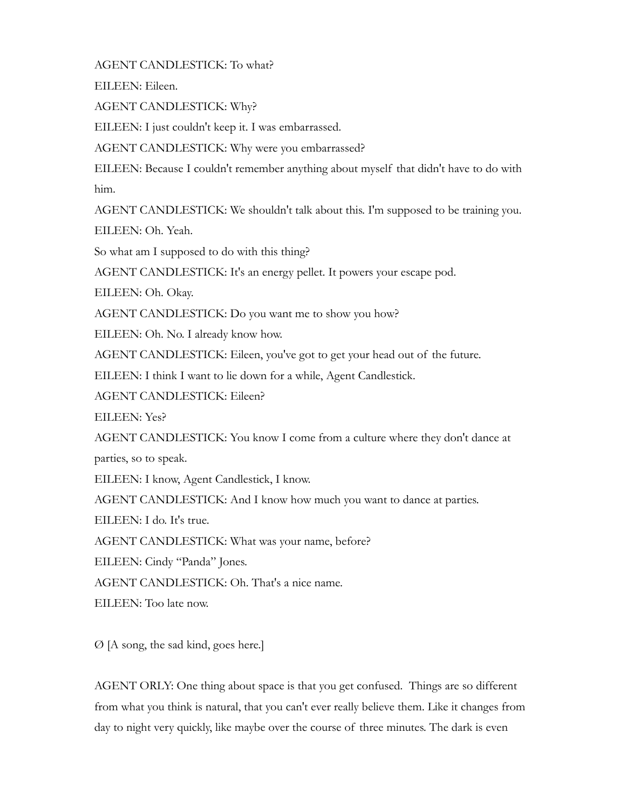AGENT CANDLESTICK: To what?

EILEEN: Eileen.

AGENT CANDLESTICK: Why?

EILEEN: I just couldn't keep it. I was embarrassed.

AGENT CANDLESTICK: Why were you embarrassed?

EILEEN: Because I couldn't remember anything about myself that didn't have to do with him.

AGENT CANDLESTICK: We shouldn't talk about this. I'm supposed to be training you.

EILEEN: Oh. Yeah.

So what am I supposed to do with this thing?

AGENT CANDLESTICK: It's an energy pellet. It powers your escape pod.

EILEEN: Oh. Okay.

AGENT CANDLESTICK: Do you want me to show you how?

EILEEN: Oh. No. I already know how.

AGENT CANDLESTICK: Eileen, you've got to get your head out of the future.

EILEEN: I think I want to lie down for a while, Agent Candlestick.

AGENT CANDLESTICK: Eileen?

EILEEN: Yes?

AGENT CANDLESTICK: You know I come from a culture where they don't dance at parties, so to speak.

EILEEN: I know, Agent Candlestick, I know.

AGENT CANDLESTICK: And I know how much you want to dance at parties.

EILEEN: I do. It's true.

AGENT CANDLESTICK: What was your name, before?

EILEEN: Cindy "Panda" Jones.

AGENT CANDLESTICK: Oh. That's a nice name.

EILEEN: Too late now.

Ø [A song, the sad kind, goes here.]

AGENT ORLY: One thing about space is that you get confused. Things are so different from what you think is natural, that you can't ever really believe them. Like it changes from day to night very quickly, like maybe over the course of three minutes. The dark is even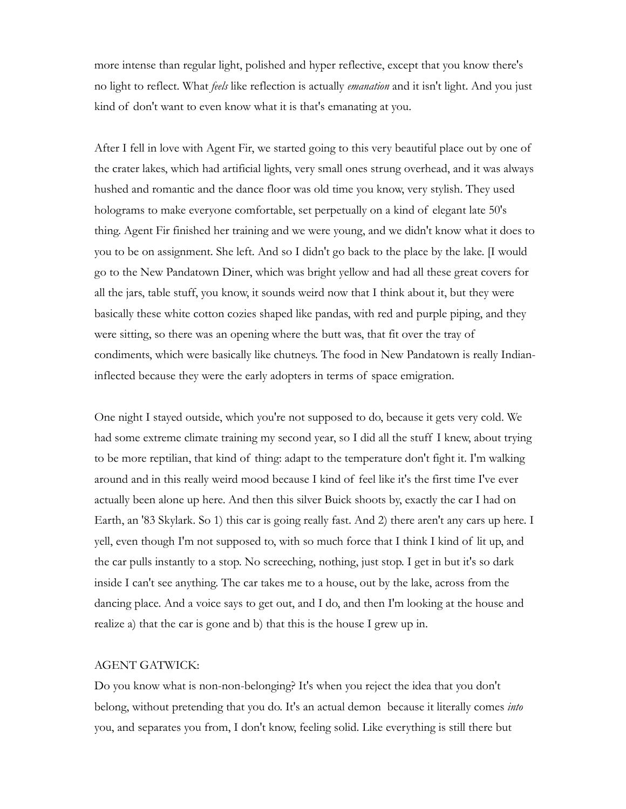more intense than regular light, polished and hyper reflective, except that you know there's no light to reflect. What *feels* like reflection is actually *emanation* and it isn't light. And you just kind of don't want to even know what it is that's emanating at you.

After I fell in love with Agent Fir, we started going to this very beautiful place out by one of the crater lakes, which had artificial lights, very small ones strung overhead, and it was always hushed and romantic and the dance floor was old time you know, very stylish. They used holograms to make everyone comfortable, set perpetually on a kind of elegant late 50's thing. Agent Fir finished her training and we were young, and we didn't know what it does to you to be on assignment. She left. And so I didn't go back to the place by the lake. [I would go to the New Pandatown Diner, which was bright yellow and had all these great covers for all the jars, table stuff, you know, it sounds weird now that I think about it, but they were basically these white cotton cozies shaped like pandas, with red and purple piping, and they were sitting, so there was an opening where the butt was, that fit over the tray of condiments, which were basically like chutneys. The food in New Pandatown is really Indianinflected because they were the early adopters in terms of space emigration.

One night I stayed outside, which you're not supposed to do, because it gets very cold. We had some extreme climate training my second year, so I did all the stuff I knew, about trying to be more reptilian, that kind of thing: adapt to the temperature don't fight it. I'm walking around and in this really weird mood because I kind of feel like it's the first time I've ever actually been alone up here. And then this silver Buick shoots by, exactly the car I had on Earth, an '83 Skylark. So 1) this car is going really fast. And 2) there aren't any cars up here. I yell, even though I'm not supposed to, with so much force that I think I kind of lit up, and the car pulls instantly to a stop. No screeching, nothing, just stop. I get in but it's so dark inside I can't see anything. The car takes me to a house, out by the lake, across from the dancing place. And a voice says to get out, and I do, and then I'm looking at the house and realize a) that the car is gone and b) that this is the house I grew up in.

#### AGENT GATWICK:

Do you know what is non-non-belonging? It's when you reject the idea that you don't belong, without pretending that you do. It's an actual demon because it literally comes *into* you, and separates you from, I don't know, feeling solid. Like everything is still there but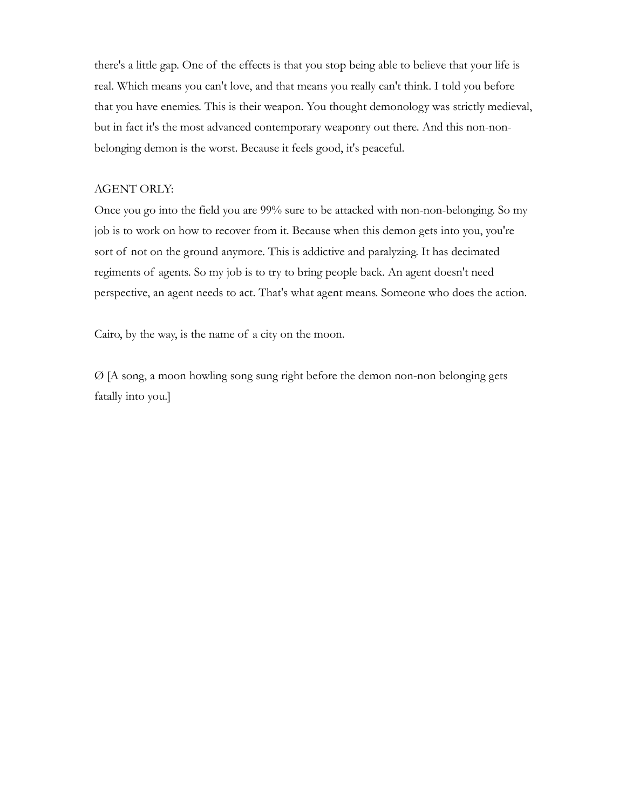there's a little gap. One of the effects is that you stop being able to believe that your life is real. Which means you can't love, and that means you really can't think. I told you before that you have enemies. This is their weapon. You thought demonology was strictly medieval, but in fact it's the most advanced contemporary weaponry out there. And this non-nonbelonging demon is the worst. Because it feels good, it's peaceful.

### AGENT ORLY:

Once you go into the field you are 99% sure to be attacked with non-non-belonging. So my job is to work on how to recover from it. Because when this demon gets into you, you're sort of not on the ground anymore. This is addictive and paralyzing. It has decimated regiments of agents. So my job is to try to bring people back. An agent doesn't need perspective, an agent needs to act. That's what agent means. Someone who does the action.

Cairo, by the way, is the name of a city on the moon.

Ø [A song, a moon howling song sung right before the demon non-non belonging gets fatally into you.]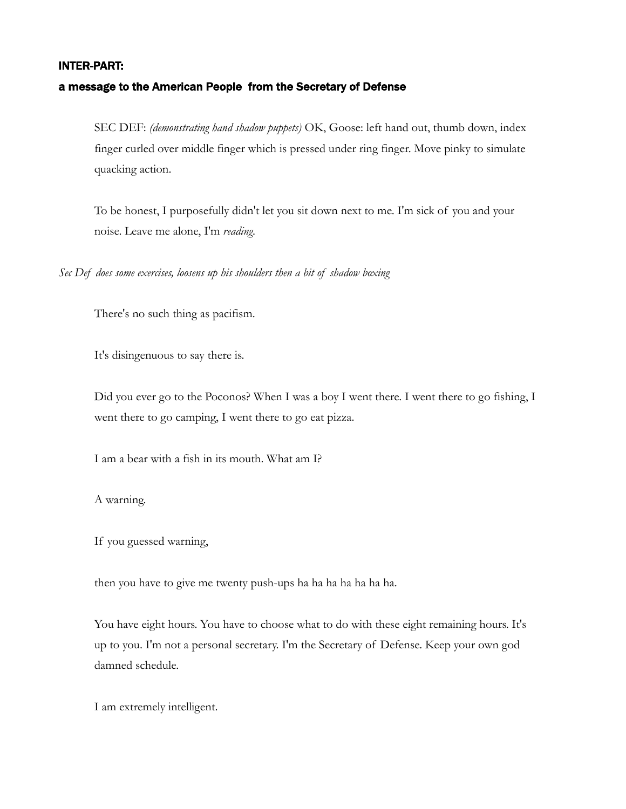#### INTER-PART:

#### a message to the American People from the Secretary of Defense

SEC DEF: *(demonstrating hand shadow puppets)* OK, Goose: left hand out, thumb down, index finger curled over middle finger which is pressed under ring finger. Move pinky to simulate quacking action.

To be honest, I purposefully didn't let you sit down next to me. I'm sick of you and your noise. Leave me alone, I'm *reading*.

*Sec Def does some exercises, loosens up his shoulders then a bit of shadow boxing*

There's no such thing as pacifism.

It's disingenuous to say there is.

Did you ever go to the Poconos? When I was a boy I went there. I went there to go fishing, I went there to go camping, I went there to go eat pizza.

I am a bear with a fish in its mouth. What am I?

A warning.

If you guessed warning,

then you have to give me twenty push-ups ha ha ha ha ha ha ha.

You have eight hours. You have to choose what to do with these eight remaining hours. It's up to you. I'm not a personal secretary. I'm the Secretary of Defense. Keep your own god damned schedule.

I am extremely intelligent.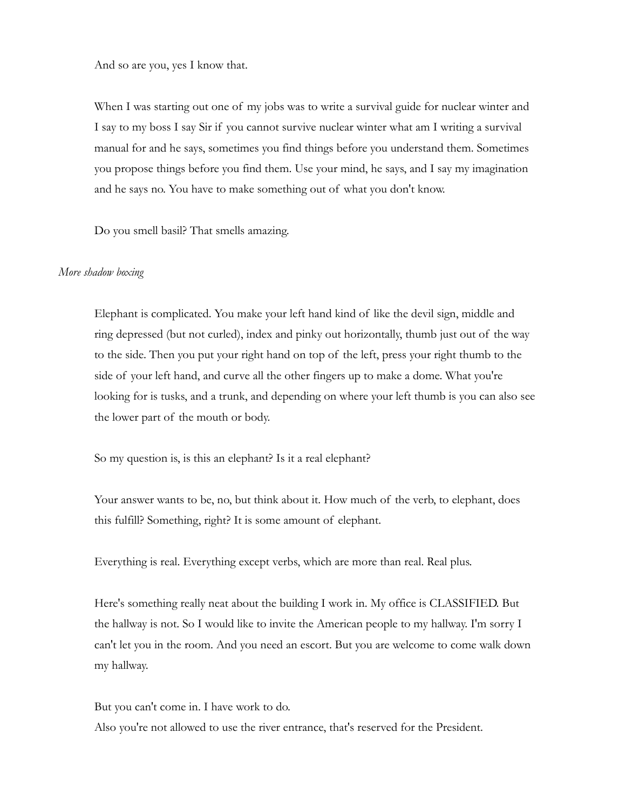And so are you, yes I know that.

When I was starting out one of my jobs was to write a survival guide for nuclear winter and I say to my boss I say Sir if you cannot survive nuclear winter what am I writing a survival manual for and he says, sometimes you find things before you understand them. Sometimes you propose things before you find them. Use your mind, he says, and I say my imagination and he says no. You have to make something out of what you don't know.

Do you smell basil? That smells amazing.

#### *More shadow boxing*

Elephant is complicated. You make your left hand kind of like the devil sign, middle and ring depressed (but not curled), index and pinky out horizontally, thumb just out of the way to the side. Then you put your right hand on top of the left, press your right thumb to the side of your left hand, and curve all the other fingers up to make a dome. What you're looking for is tusks, and a trunk, and depending on where your left thumb is you can also see the lower part of the mouth or body.

So my question is, is this an elephant? Is it a real elephant?

Your answer wants to be, no, but think about it. How much of the verb, to elephant, does this fulfill? Something, right? It is some amount of elephant.

Everything is real. Everything except verbs, which are more than real. Real plus.

Here's something really neat about the building I work in. My office is CLASSIFIED. But the hallway is not. So I would like to invite the American people to my hallway. I'm sorry I can't let you in the room. And you need an escort. But you are welcome to come walk down my hallway.

But you can't come in. I have work to do. Also you're not allowed to use the river entrance, that's reserved for the President.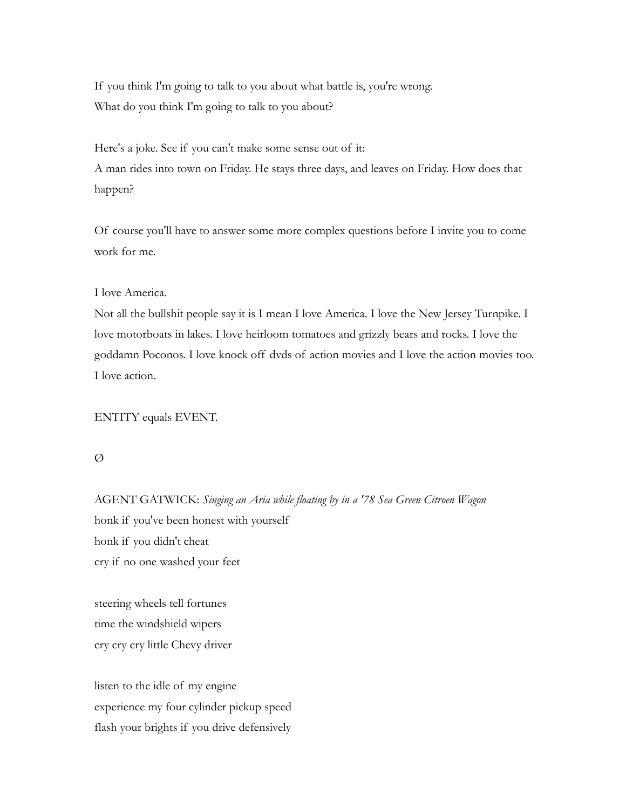If you think I'm going to talk to you about what battle is, you're wrong. What do you think I'm going to talk to you about?

Here's a joke. See if you can't make some sense out of it: A man rides into town on Friday. He stays three days, and leaves on Friday. How does that happen?

Of course you'll have to answer some more complex questions before I invite you to come work for me.

I love America.

Not all the bullshit people say it is I mean I love America. I love the New Jersey Turnpike. I love motorboats in lakes. I love heirloom tomatoes and grizzly bears and rocks. I love the goddamn Poconos. I love knock off dvds of action movies and I love the action movies too. I love action.

ENTITY equals EVENT.

Ø

AGENT GATWICK: *Singing an Aria while floating by in a '78 Sea Green Citroen Wagon* honk if you've been honest with yourself honk if you didn't cheat cry if no one washed your feet

steering wheels tell fortunes time the windshield wipers cry cry cry little Chevy driver

listen to the idle of my engine experience my four cylinder pickup speed flash your brights if you drive defensively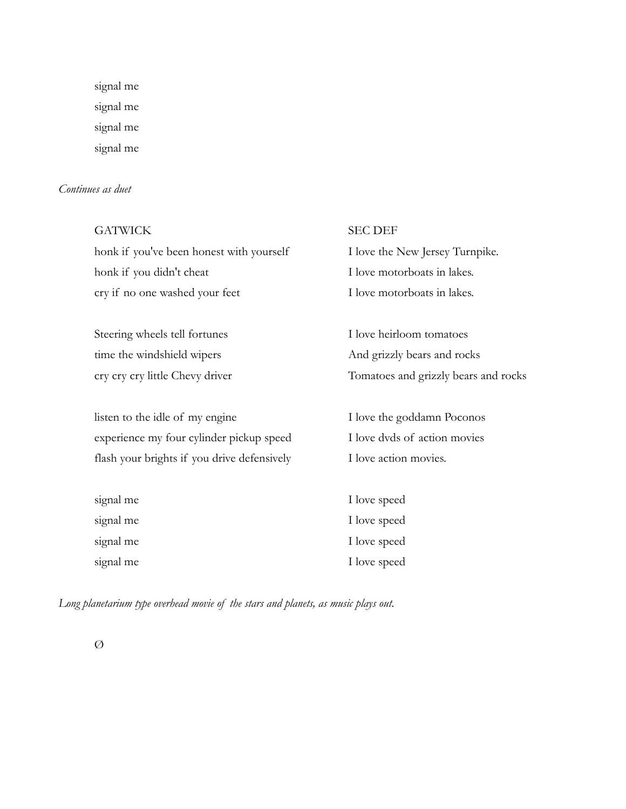signal me signal me signal me signal me

# *Continues as duet*

| <b>GATWICK</b>                              | <b>SEC DEF</b>                       |
|---------------------------------------------|--------------------------------------|
| honk if you've been honest with yourself    | I love the New Jersey Turnpike.      |
| honk if you didn't cheat                    | I love motorboats in lakes.          |
| cry if no one washed your feet              | I love motorboats in lakes.          |
|                                             |                                      |
| Steering wheels tell fortunes               | I love heirloom tomatoes             |
| time the windshield wipers                  | And grizzly bears and rocks          |
| cry cry cry little Chevy driver             | Tomatoes and grizzly bears and rocks |
|                                             |                                      |
| listen to the idle of my engine             | I love the goddamn Poconos           |
| experience my four cylinder pickup speed    | I love dvds of action movies         |
| flash your brights if you drive defensively | I love action movies.                |
|                                             |                                      |
| signal me                                   | I love speed                         |
| signal me                                   | I love speed                         |
| signal me                                   | I love speed                         |
| signal me                                   | I love speed                         |

*Long planetarium type overhead movie of the stars and planets, as music plays out.*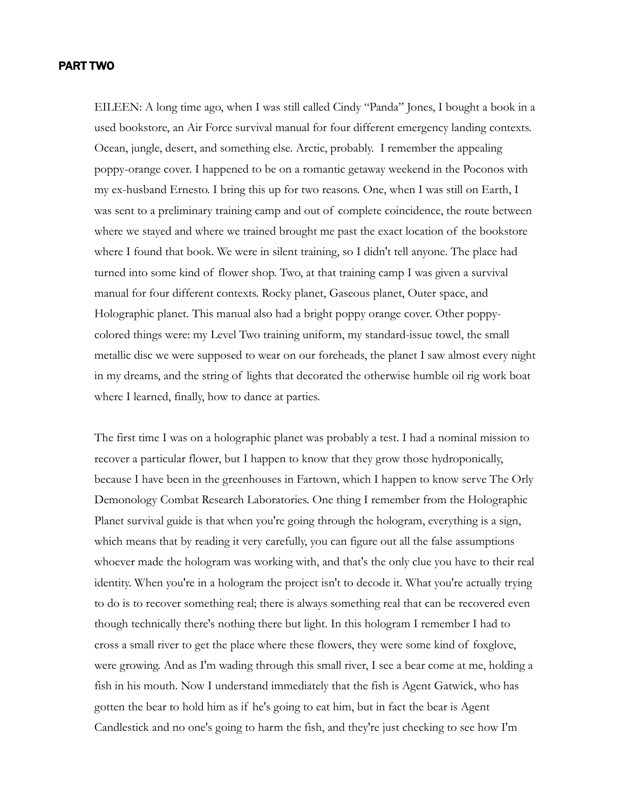#### PART TWO

EILEEN: A long time ago, when I was still called Cindy "Panda" Jones, I bought a book in a used bookstore, an Air Force survival manual for four different emergency landing contexts. Ocean, jungle, desert, and something else. Arctic, probably. I remember the appealing poppy-orange cover. I happened to be on a romantic getaway weekend in the Poconos with my ex-husband Ernesto. I bring this up for two reasons. One, when I was still on Earth, I was sent to a preliminary training camp and out of complete coincidence, the route between where we stayed and where we trained brought me past the exact location of the bookstore where I found that book. We were in silent training, so I didn't tell anyone. The place had turned into some kind of flower shop. Two, at that training camp I was given a survival manual for four different contexts. Rocky planet, Gaseous planet, Outer space, and Holographic planet. This manual also had a bright poppy orange cover. Other poppycolored things were: my Level Two training uniform, my standard-issue towel, the small metallic disc we were supposed to wear on our foreheads, the planet I saw almost every night in my dreams, and the string of lights that decorated the otherwise humble oil rig work boat where I learned, finally, how to dance at parties.

The first time I was on a holographic planet was probably a test. I had a nominal mission to recover a particular flower, but I happen to know that they grow those hydroponically, because I have been in the greenhouses in Fartown, which I happen to know serve The Orly Demonology Combat Research Laboratories. One thing I remember from the Holographic Planet survival guide is that when you're going through the hologram, everything is a sign, which means that by reading it very carefully, you can figure out all the false assumptions whoever made the hologram was working with, and that's the only clue you have to their real identity. When you're in a hologram the project isn't to decode it. What you're actually trying to do is to recover something real; there is always something real that can be recovered even though technically there's nothing there but light. In this hologram I remember I had to cross a small river to get the place where these flowers, they were some kind of foxglove, were growing. And as I'm wading through this small river, I see a bear come at me, holding a fish in his mouth. Now I understand immediately that the fish is Agent Gatwick, who has gotten the bear to hold him as if he's going to eat him, but in fact the bear is Agent Candlestick and no one's going to harm the fish, and they're just checking to see how I'm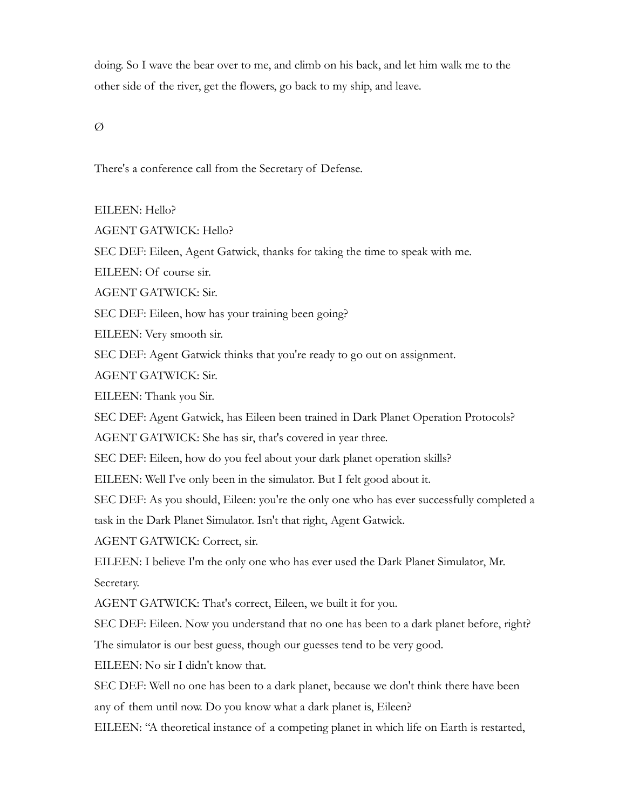doing. So I wave the bear over to me, and climb on his back, and let him walk me to the other side of the river, get the flowers, go back to my ship, and leave.

 $\varnothing$ 

There's a conference call from the Secretary of Defense.

EILEEN: Hello?

AGENT GATWICK: Hello?

SEC DEF: Eileen, Agent Gatwick, thanks for taking the time to speak with me.

EILEEN: Of course sir.

AGENT GATWICK: Sir.

SEC DEF: Eileen, how has your training been going?

EILEEN: Very smooth sir.

SEC DEF: Agent Gatwick thinks that you're ready to go out on assignment.

AGENT GATWICK: Sir.

EILEEN: Thank you Sir.

SEC DEF: Agent Gatwick, has Eileen been trained in Dark Planet Operation Protocols?

AGENT GATWICK: She has sir, that's covered in year three.

SEC DEF: Eileen, how do you feel about your dark planet operation skills?

EILEEN: Well I've only been in the simulator. But I felt good about it.

SEC DEF: As you should, Eileen: you're the only one who has ever successfully completed a

task in the Dark Planet Simulator. Isn't that right, Agent Gatwick.

AGENT GATWICK: Correct, sir.

EILEEN: I believe I'm the only one who has ever used the Dark Planet Simulator, Mr. Secretary.

AGENT GATWICK: That's correct, Eileen, we built it for you.

SEC DEF: Eileen. Now you understand that no one has been to a dark planet before, right?

The simulator is our best guess, though our guesses tend to be very good.

EILEEN: No sir I didn't know that.

SEC DEF: Well no one has been to a dark planet, because we don't think there have been any of them until now. Do you know what a dark planet is, Eileen?

EILEEN: "A theoretical instance of a competing planet in which life on Earth is restarted,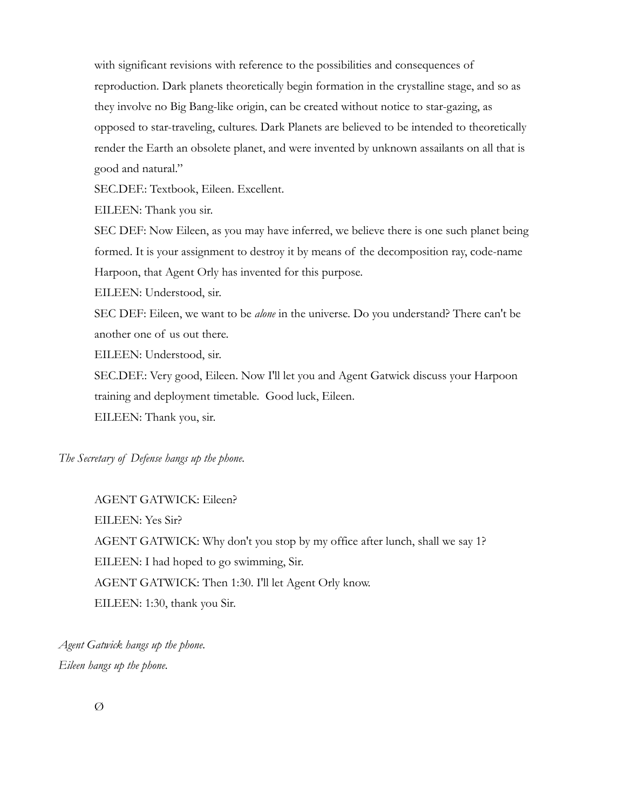with significant revisions with reference to the possibilities and consequences of reproduction. Dark planets theoretically begin formation in the crystalline stage, and so as they involve no Big Bang-like origin, can be created without notice to star-gazing, as opposed to star-traveling, cultures. Dark Planets are believed to be intended to theoretically render the Earth an obsolete planet, and were invented by unknown assailants on all that is good and natural."

SEC.DEF.: Textbook, Eileen. Excellent.

EILEEN: Thank you sir.

SEC DEF: Now Eileen, as you may have inferred, we believe there is one such planet being formed. It is your assignment to destroy it by means of the decomposition ray, code-name Harpoon, that Agent Orly has invented for this purpose.

EILEEN: Understood, sir.

SEC DEF: Eileen, we want to be *alone* in the universe. Do you understand? There can't be another one of us out there.

EILEEN: Understood, sir.

SEC.DEF.: Very good, Eileen. Now I'll let you and Agent Gatwick discuss your Harpoon training and deployment timetable. Good luck, Eileen. EILEEN: Thank you, sir.

*The Secretary of Defense hangs up the phone.*

AGENT GATWICK: Eileen? EILEEN: Yes Sir? AGENT GATWICK: Why don't you stop by my office after lunch, shall we say 1? EILEEN: I had hoped to go swimming, Sir. AGENT GATWICK: Then 1:30. I'll let Agent Orly know. EILEEN: 1:30, thank you Sir.

*Agent Gatwick hangs up the phone. Eileen hangs up the phone.*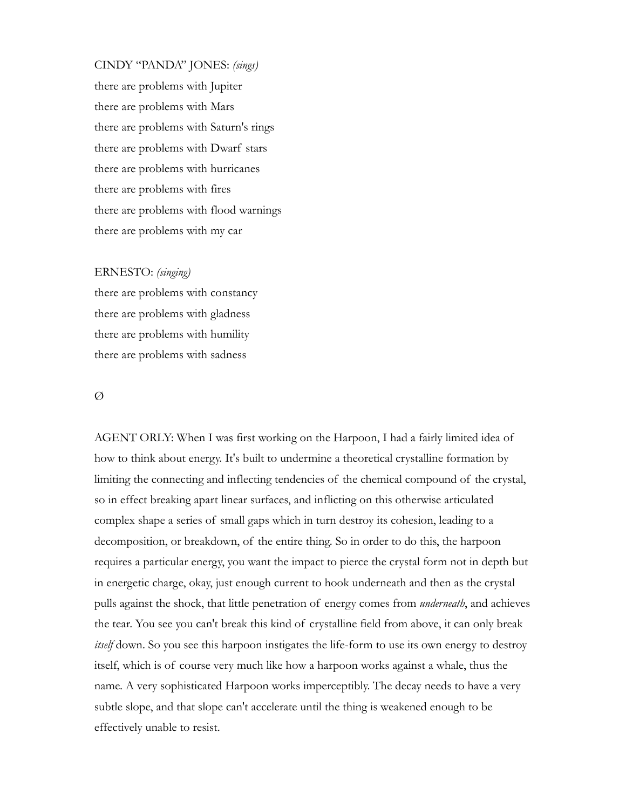CINDY "PANDA" JONES: *(sings)* there are problems with Jupiter there are problems with Mars there are problems with Saturn's rings there are problems with Dwarf stars there are problems with hurricanes there are problems with fires there are problems with flood warnings there are problems with my car

#### ERNESTO: *(singing)*

there are problems with constancy there are problems with gladness there are problems with humility there are problems with sadness

#### Ø

AGENT ORLY: When I was first working on the Harpoon, I had a fairly limited idea of how to think about energy. It's built to undermine a theoretical crystalline formation by limiting the connecting and inflecting tendencies of the chemical compound of the crystal, so in effect breaking apart linear surfaces, and inflicting on this otherwise articulated complex shape a series of small gaps which in turn destroy its cohesion, leading to a decomposition, or breakdown, of the entire thing. So in order to do this, the harpoon requires a particular energy, you want the impact to pierce the crystal form not in depth but in energetic charge, okay, just enough current to hook underneath and then as the crystal pulls against the shock, that little penetration of energy comes from *underneath*, and achieves the tear. You see you can't break this kind of crystalline field from above, it can only break *itself* down. So you see this harpoon instigates the life-form to use its own energy to destroy itself, which is of course very much like how a harpoon works against a whale, thus the name. A very sophisticated Harpoon works imperceptibly. The decay needs to have a very subtle slope, and that slope can't accelerate until the thing is weakened enough to be effectively unable to resist.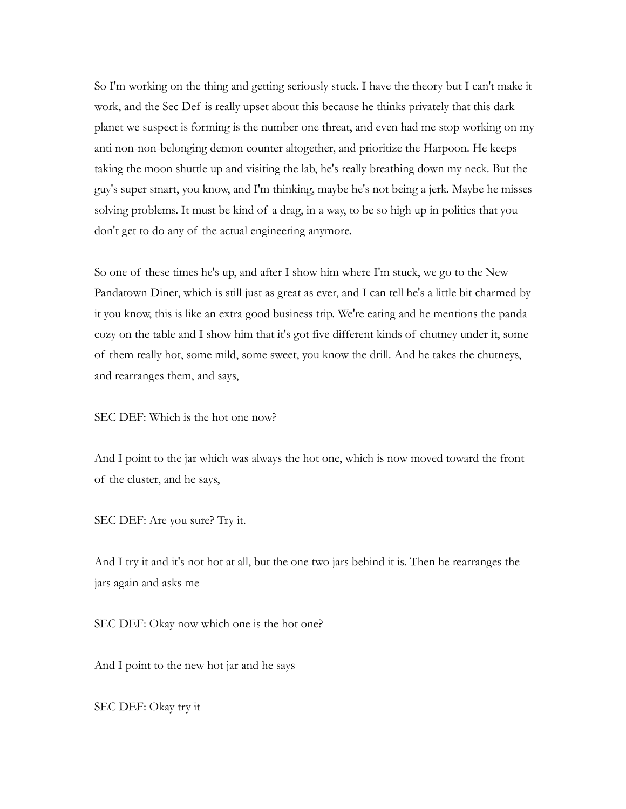So I'm working on the thing and getting seriously stuck. I have the theory but I can't make it work, and the Sec Def is really upset about this because he thinks privately that this dark planet we suspect is forming is the number one threat, and even had me stop working on my anti non-non-belonging demon counter altogether, and prioritize the Harpoon. He keeps taking the moon shuttle up and visiting the lab, he's really breathing down my neck. But the guy's super smart, you know, and I'm thinking, maybe he's not being a jerk. Maybe he misses solving problems. It must be kind of a drag, in a way, to be so high up in politics that you don't get to do any of the actual engineering anymore.

So one of these times he's up, and after I show him where I'm stuck, we go to the New Pandatown Diner, which is still just as great as ever, and I can tell he's a little bit charmed by it you know, this is like an extra good business trip. We're eating and he mentions the panda cozy on the table and I show him that it's got five different kinds of chutney under it, some of them really hot, some mild, some sweet, you know the drill. And he takes the chutneys, and rearranges them, and says,

SEC DEF: Which is the hot one now?

And I point to the jar which was always the hot one, which is now moved toward the front of the cluster, and he says,

SEC DEF: Are you sure? Try it.

And I try it and it's not hot at all, but the one two jars behind it is. Then he rearranges the jars again and asks me

SEC DEF: Okay now which one is the hot one?

And I point to the new hot jar and he says

SEC DEF: Okay try it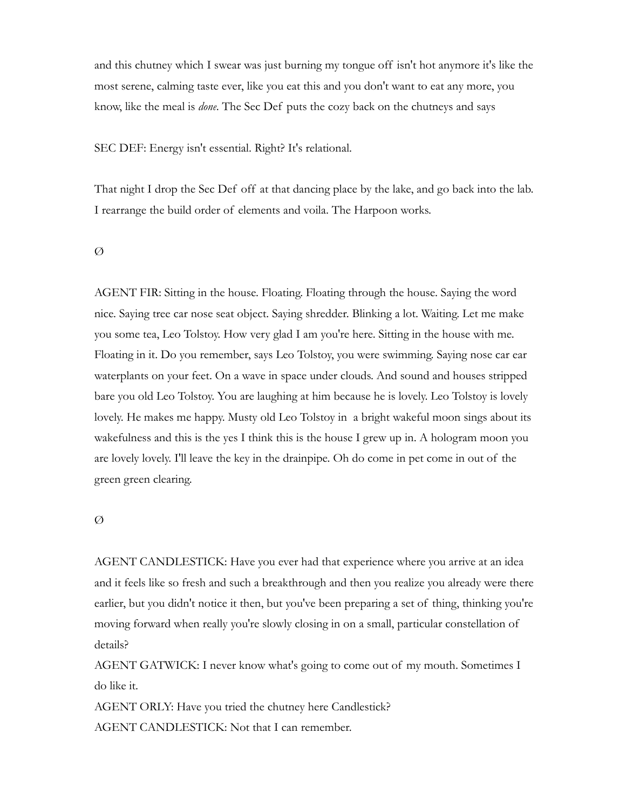and this chutney which I swear was just burning my tongue off isn't hot anymore it's like the most serene, calming taste ever, like you eat this and you don't want to eat any more, you know, like the meal is *done*. The Sec Def puts the cozy back on the chutneys and says

SEC DEF: Energy isn't essential. Right? It's relational.

That night I drop the Sec Def off at that dancing place by the lake, and go back into the lab. I rearrange the build order of elements and voila. The Harpoon works.

 $\varnothing$ 

AGENT FIR: Sitting in the house. Floating. Floating through the house. Saying the word nice. Saying tree car nose seat object. Saying shredder. Blinking a lot. Waiting. Let me make you some tea, Leo Tolstoy. How very glad I am you're here. Sitting in the house with me. Floating in it. Do you remember, says Leo Tolstoy, you were swimming. Saying nose car ear waterplants on your feet. On a wave in space under clouds. And sound and houses stripped bare you old Leo Tolstoy. You are laughing at him because he is lovely. Leo Tolstoy is lovely lovely. He makes me happy. Musty old Leo Tolstoy in a bright wakeful moon sings about its wakefulness and this is the yes I think this is the house I grew up in. A hologram moon you are lovely lovely. I'll leave the key in the drainpipe. Oh do come in pet come in out of the green green clearing.

#### Ø

AGENT CANDLESTICK: Have you ever had that experience where you arrive at an idea and it feels like so fresh and such a breakthrough and then you realize you already were there earlier, but you didn't notice it then, but you've been preparing a set of thing, thinking you're moving forward when really you're slowly closing in on a small, particular constellation of details?

AGENT GATWICK: I never know what's going to come out of my mouth. Sometimes I do like it.

AGENT ORLY: Have you tried the chutney here Candlestick? AGENT CANDLESTICK: Not that I can remember.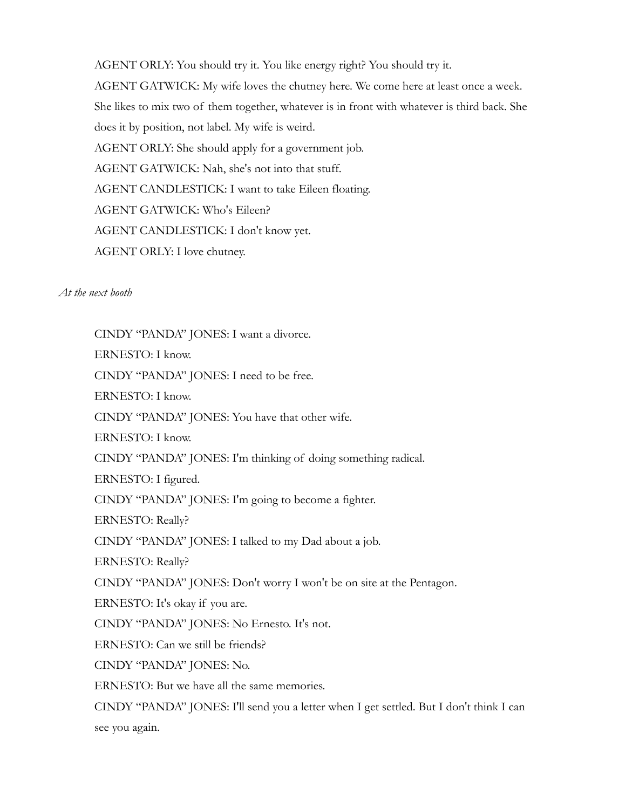AGENT ORLY: You should try it. You like energy right? You should try it. AGENT GATWICK: My wife loves the chutney here. We come here at least once a week. She likes to mix two of them together, whatever is in front with whatever is third back. She does it by position, not label. My wife is weird. AGENT ORLY: She should apply for a government job. AGENT GATWICK: Nah, she's not into that stuff. AGENT CANDLESTICK: I want to take Eileen floating. AGENT GATWICK: Who's Eileen? AGENT CANDLESTICK: I don't know yet. AGENT ORLY: I love chutney.

*At the next booth*

CINDY "PANDA" JONES: I want a divorce. ERNESTO: I know. CINDY "PANDA" JONES: I need to be free. ERNESTO: I know. CINDY "PANDA" JONES: You have that other wife. ERNESTO: I know. CINDY "PANDA" JONES: I'm thinking of doing something radical. ERNESTO: I figured. CINDY "PANDA" JONES: I'm going to become a fighter. ERNESTO: Really? CINDY "PANDA" JONES: I talked to my Dad about a job. ERNESTO: Really? CINDY "PANDA" JONES: Don't worry I won't be on site at the Pentagon. ERNESTO: It's okay if you are. CINDY "PANDA" JONES: No Ernesto. It's not. ERNESTO: Can we still be friends? CINDY "PANDA" JONES: No. ERNESTO: But we have all the same memories. CINDY "PANDA" JONES: I'll send you a letter when I get settled. But I don't think I can see you again.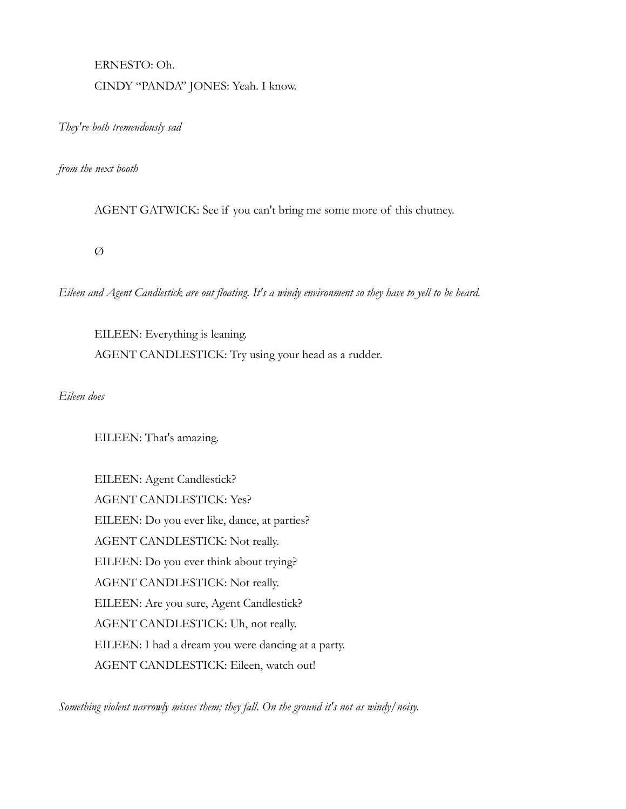# ERNESTO: Oh. CINDY "PANDA" JONES: Yeah. I know.

*They're both tremendously sad*

*from the next booth*

AGENT GATWICK: See if you can't bring me some more of this chutney.

 $\varnothing$ 

*Eileen and Agent Candlestick are out floating. It's a windy environment so they have to yell to be heard.*

EILEEN: Everything is leaning. AGENT CANDLESTICK: Try using your head as a rudder.

*Eileen does*

EILEEN: That's amazing.

EILEEN: Agent Candlestick? AGENT CANDLESTICK: Yes? EILEEN: Do you ever like, dance, at parties? AGENT CANDLESTICK: Not really. EILEEN: Do you ever think about trying? AGENT CANDLESTICK: Not really. EILEEN: Are you sure, Agent Candlestick? AGENT CANDLESTICK: Uh, not really. EILEEN: I had a dream you were dancing at a party. AGENT CANDLESTICK: Eileen, watch out!

*Something violent narrowly misses them; they fall. On the ground it's not as windy/noisy.*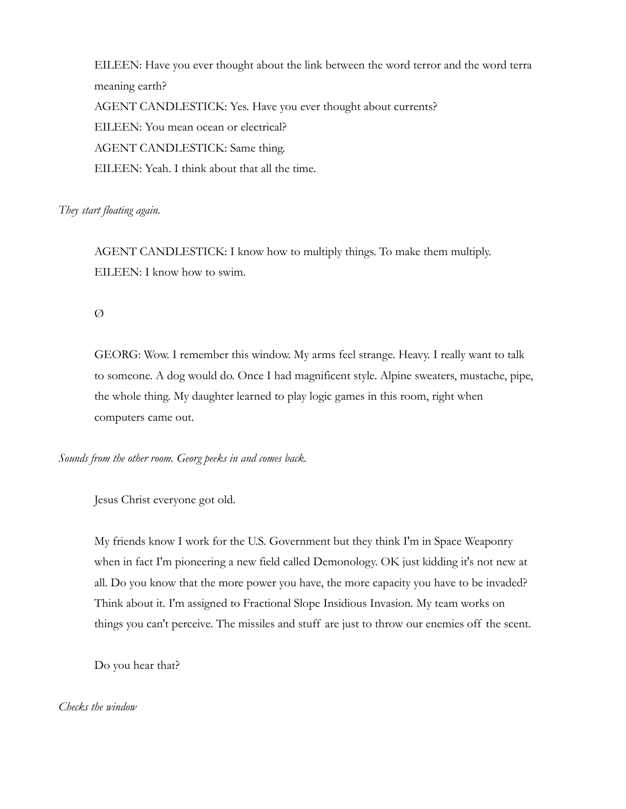EILEEN: Have you ever thought about the link between the word terror and the word terra meaning earth? AGENT CANDLESTICK: Yes. Have you ever thought about currents? EILEEN: You mean ocean or electrical? AGENT CANDLESTICK: Same thing. EILEEN: Yeah. I think about that all the time.

### *They start floating again.*

AGENT CANDLESTICK: I know how to multiply things. To make them multiply. EILEEN: I know how to swim.

Ø

GEORG: Wow. I remember this window. My arms feel strange. Heavy. I really want to talk to someone. A dog would do. Once I had magnificent style. Alpine sweaters, mustache, pipe, the whole thing. My daughter learned to play logic games in this room, right when computers came out.

*Sounds from the other room. Georg peeks in and comes back.*

Jesus Christ everyone got old.

My friends know I work for the U.S. Government but they think I'm in Space Weaponry when in fact I'm pioneering a new field called Demonology. OK just kidding it's not new at all. Do you know that the more power you have, the more capacity you have to be invaded? Think about it. I'm assigned to Fractional Slope Insidious Invasion. My team works on things you can't perceive. The missiles and stuff are just to throw our enemies off the scent.

Do you hear that?

*Checks the window*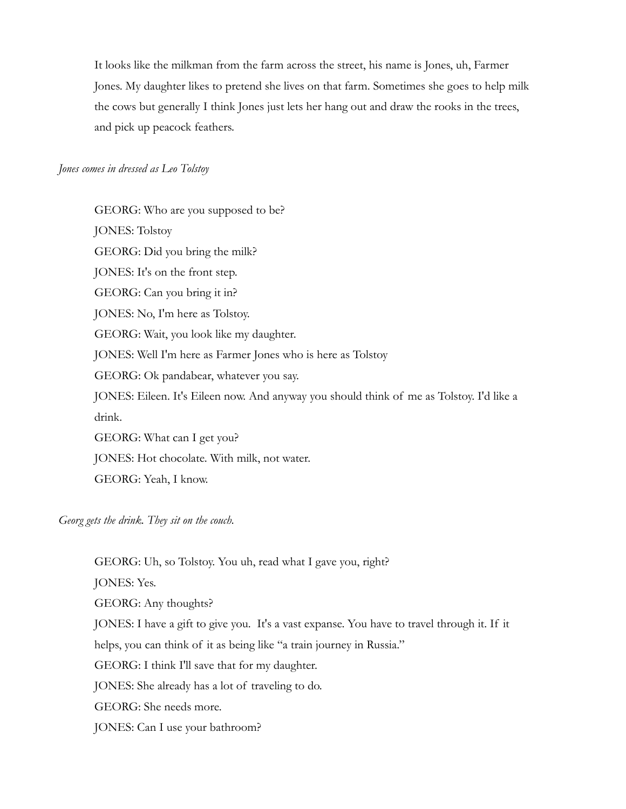It looks like the milkman from the farm across the street, his name is Jones, uh, Farmer Jones. My daughter likes to pretend she lives on that farm. Sometimes she goes to help milk the cows but generally I think Jones just lets her hang out and draw the rooks in the trees, and pick up peacock feathers.

#### *Jones comes in dressed as Leo Tolstoy*

GEORG: Who are you supposed to be? JONES: Tolstoy GEORG: Did you bring the milk? JONES: It's on the front step. GEORG: Can you bring it in? JONES: No, I'm here as Tolstoy. GEORG: Wait, you look like my daughter. JONES: Well I'm here as Farmer Jones who is here as Tolstoy GEORG: Ok pandabear, whatever you say. JONES: Eileen. It's Eileen now. And anyway you should think of me as Tolstoy. I'd like a drink. GEORG: What can I get you? JONES: Hot chocolate. With milk, not water. GEORG: Yeah, I know.

*Georg gets the drink. They sit on the couch.* 

GEORG: Uh, so Tolstoy. You uh, read what I gave you, right? JONES: Yes. GEORG: Any thoughts? JONES: I have a gift to give you. It's a vast expanse. You have to travel through it. If it helps, you can think of it as being like "a train journey in Russia." GEORG: I think I'll save that for my daughter. JONES: She already has a lot of traveling to do. GEORG: She needs more. JONES: Can I use your bathroom?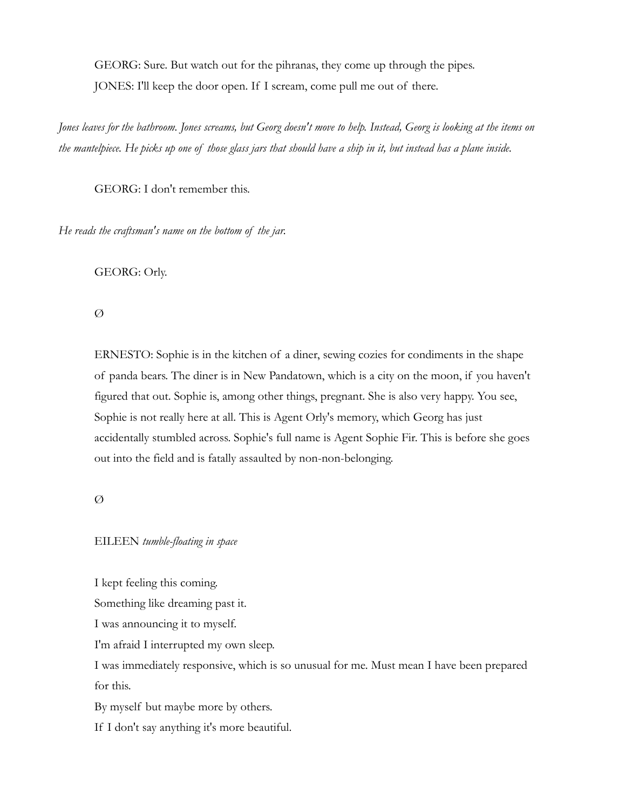GEORG: Sure. But watch out for the pihranas, they come up through the pipes. JONES: I'll keep the door open. If I scream, come pull me out of there.

*Jones leaves for the bathroom. Jones screams, but Georg doesn't move to help. Instead, Georg is looking at the items on the mantelpiece. He picks up one of those glass jars that should have a ship in it, but instead has a plane inside.*

GEORG: I don't remember this.

*He reads the craftsman's name on the bottom of the jar.*

GEORG: Orly.

Ø

ERNESTO: Sophie is in the kitchen of a diner, sewing cozies for condiments in the shape of panda bears. The diner is in New Pandatown, which is a city on the moon, if you haven't figured that out. Sophie is, among other things, pregnant. She is also very happy. You see, Sophie is not really here at all. This is Agent Orly's memory, which Georg has just accidentally stumbled across. Sophie's full name is Agent Sophie Fir. This is before she goes out into the field and is fatally assaulted by non-non-belonging.

Ø

## EILEEN *tumble-floating in space*

I kept feeling this coming.

Something like dreaming past it.

I was announcing it to myself.

I'm afraid I interrupted my own sleep.

I was immediately responsive, which is so unusual for me. Must mean I have been prepared for this.

By myself but maybe more by others.

If I don't say anything it's more beautiful.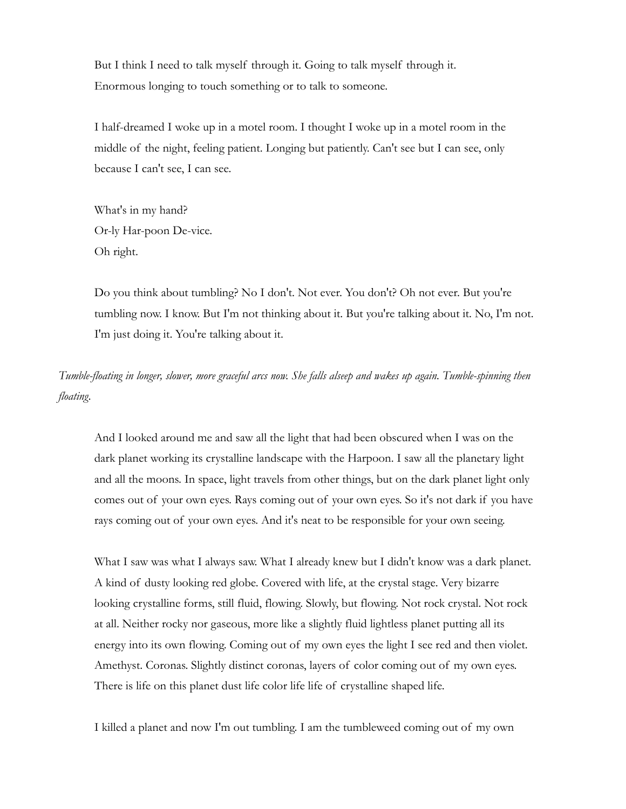But I think I need to talk myself through it. Going to talk myself through it. Enormous longing to touch something or to talk to someone.

I half-dreamed I woke up in a motel room. I thought I woke up in a motel room in the middle of the night, feeling patient. Longing but patiently. Can't see but I can see, only because I can't see, I can see.

What's in my hand? Or-ly Har-poon De-vice. Oh right.

Do you think about tumbling? No I don't. Not ever. You don't? Oh not ever. But you're tumbling now. I know. But I'm not thinking about it. But you're talking about it. No, I'm not. I'm just doing it. You're talking about it.

*Tumble-floating in longer, slower, more graceful arcs now. She falls alseep and wakes up again. Tumble-spinning then floating.*

And I looked around me and saw all the light that had been obscured when I was on the dark planet working its crystalline landscape with the Harpoon. I saw all the planetary light and all the moons. In space, light travels from other things, but on the dark planet light only comes out of your own eyes. Rays coming out of your own eyes. So it's not dark if you have rays coming out of your own eyes. And it's neat to be responsible for your own seeing.

What I saw was what I always saw. What I already knew but I didn't know was a dark planet. A kind of dusty looking red globe. Covered with life, at the crystal stage. Very bizarre looking crystalline forms, still fluid, flowing. Slowly, but flowing. Not rock crystal. Not rock at all. Neither rocky nor gaseous, more like a slightly fluid lightless planet putting all its energy into its own flowing. Coming out of my own eyes the light I see red and then violet. Amethyst. Coronas. Slightly distinct coronas, layers of color coming out of my own eyes. There is life on this planet dust life color life life of crystalline shaped life.

I killed a planet and now I'm out tumbling. I am the tumbleweed coming out of my own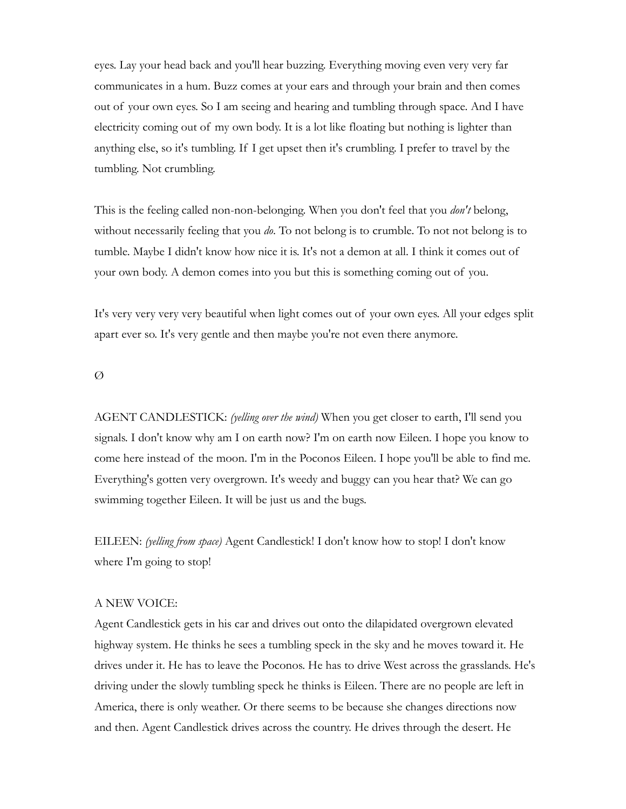eyes. Lay your head back and you'll hear buzzing. Everything moving even very very far communicates in a hum. Buzz comes at your ears and through your brain and then comes out of your own eyes. So I am seeing and hearing and tumbling through space. And I have electricity coming out of my own body. It is a lot like floating but nothing is lighter than anything else, so it's tumbling. If I get upset then it's crumbling. I prefer to travel by the tumbling. Not crumbling.

This is the feeling called non-non-belonging. When you don't feel that you *don't* belong, without necessarily feeling that you *do*. To not belong is to crumble. To not not belong is to tumble. Maybe I didn't know how nice it is. It's not a demon at all. I think it comes out of your own body. A demon comes into you but this is something coming out of you.

It's very very very very beautiful when light comes out of your own eyes. All your edges split apart ever so. It's very gentle and then maybe you're not even there anymore.

#### Ø

AGENT CANDLESTICK: *(yelling over the wind)* When you get closer to earth, I'll send you signals. I don't know why am I on earth now? I'm on earth now Eileen. I hope you know to come here instead of the moon. I'm in the Poconos Eileen. I hope you'll be able to find me. Everything's gotten very overgrown. It's weedy and buggy can you hear that? We can go swimming together Eileen. It will be just us and the bugs.

EILEEN: *(yelling from space)* Agent Candlestick! I don't know how to stop! I don't know where I'm going to stop!

### A NEW VOICE:

Agent Candlestick gets in his car and drives out onto the dilapidated overgrown elevated highway system. He thinks he sees a tumbling speck in the sky and he moves toward it. He drives under it. He has to leave the Poconos. He has to drive West across the grasslands. He's driving under the slowly tumbling speck he thinks is Eileen. There are no people are left in America, there is only weather. Or there seems to be because she changes directions now and then. Agent Candlestick drives across the country. He drives through the desert. He